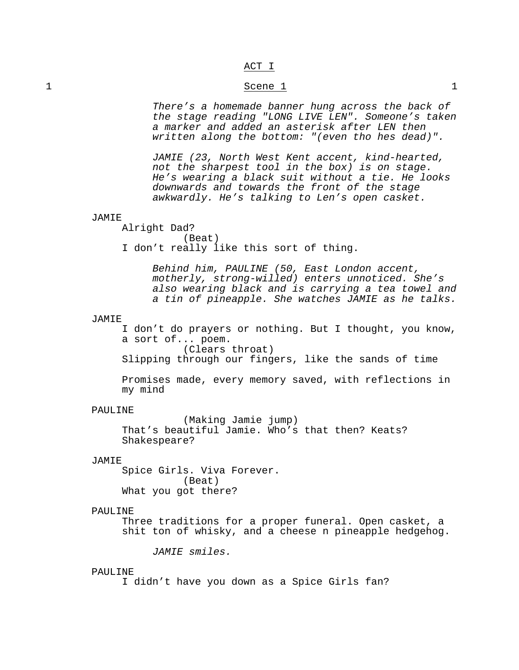# ACT I

# 1 Scene 1 1

*There's a homemade banner hung across the back of the stage reading "LONG LIVE LEN". Someone's taken a marker and added an asterisk after LEN then written along the bottom: "(even tho hes dead)".*

*JAMIE (23, North West Kent accent, kind-hearted, not the sharpest tool in the box) is on stage. He's wearing a black suit without a tie. He looks downwards and towards the front of the stage awkwardly. He's talking to Len's open casket.*

## JAMIE

Alright Dad? (Beat) I don't really like this sort of thing.

> *Behind him, PAULINE (50, East London accent, motherly, strong-willed) enters unnoticed. She's also wearing black and is carrying a tea towel and a tin of pineapple. She watches JAMIE as he talks.*

#### JAMIE

I don't do prayers or nothing. But I thought, you know, a sort of... poem. (Clears throat)

Slipping through our fingers, like the sands of time

Promises made, every memory saved, with reflections in my mind

#### PAULINE

(Making Jamie jump) That's beautiful Jamie. Who's that then? Keats? Shakespeare?

# JAMIE

Spice Girls. Viva Forever. (Beat) What you got there?

# PAULINE

Three traditions for a proper funeral. Open casket, a shit ton of whisky, and a cheese n pineapple hedgehog.

*JAMIE smiles.*

## PAULINE

I didn't have you down as a Spice Girls fan?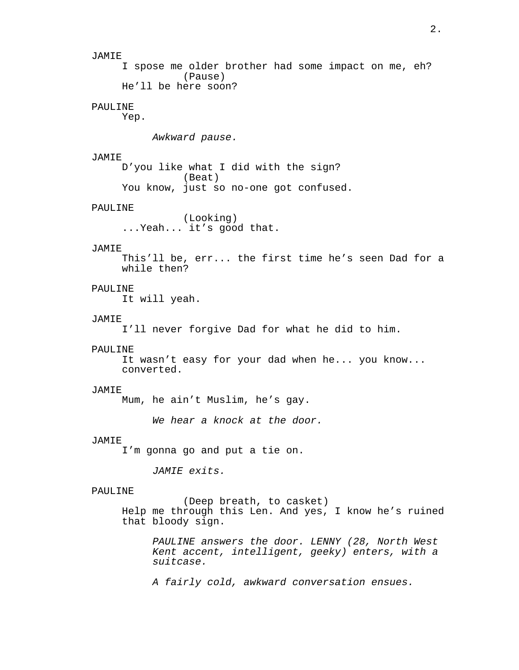JAMIE I spose me older brother had some impact on me, eh? (Pause) He'll be here soon? PAULINE Yep. *Awkward pause.* JAMIE D'you like what I did with the sign? (Beat) You know, just so no-one got confused. PAULINE (Looking) ...Yeah... it's good that. JAMIE This'll be, err... the first time he's seen Dad for a while then? PAULINE It will yeah. JAMIE I'll never forgive Dad for what he did to him. PAULINE It wasn't easy for your dad when he... you know... converted. JAMIE Mum, he ain't Muslim, he's gay. *We hear a knock at the door.* JAMIE I'm gonna go and put a tie on. *JAMIE exits.* PAULINE (Deep breath, to casket) Help me through this Len. And yes, I know he's ruined that bloody sign. *PAULINE answers the door. LENNY (28, North West Kent accent, intelligent, geeky) enters, with a suitcase. A fairly cold, awkward conversation ensues.*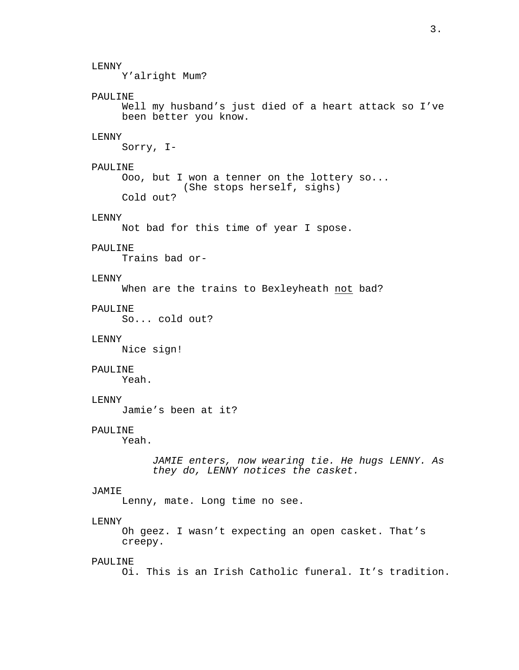LENNY Y'alright Mum? PAULINE Well my husband's just died of a heart attack so I've been better you know. LENNY Sorry, I-PAULINE Ooo, but I won a tenner on the lottery so... (She stops herself, sighs) Cold out? LENNY Not bad for this time of year I spose. PAULINE Trains bad or-LENNY When are the trains to Bexleyheath not bad? PAULINE So... cold out? LENNY Nice sign! PAULINE Yeah. LENNY Jamie's been at it? PAULINE Yeah. *JAMIE enters, now wearing tie. He hugs LENNY. As they do, LENNY notices the casket.* JAMIE Lenny, mate. Long time no see. LENNY Oh geez. I wasn't expecting an open casket. That's creepy. PAULINE Oi. This is an Irish Catholic funeral. It's tradition.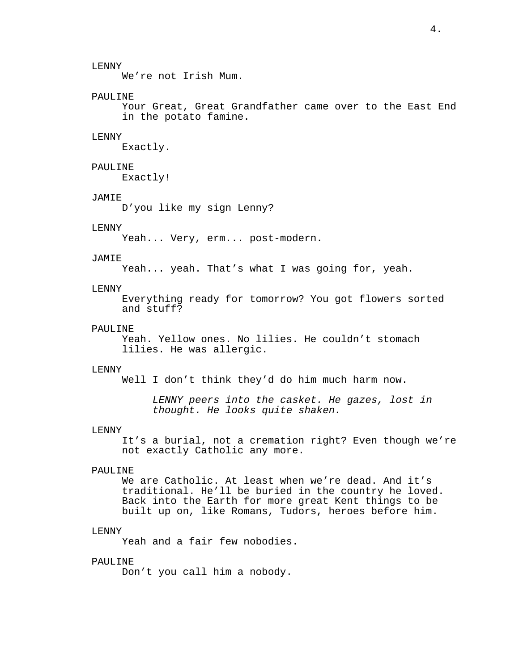We're not Irish Mum.

## PAULINE

Your Great, Great Grandfather came over to the East End in the potato famine.

# LENNY

Exactly.

# PAULINE

Exactly!

#### JAMIE

D'you like my sign Lenny?

# LENNY

Yeah... Very, erm... post-modern.

## JAMIE

Yeah... yeah. That's what I was going for, yeah.

# LENNY

Everything ready for tomorrow? You got flowers sorted and stuff?

## PAULINE

Yeah. Yellow ones. No lilies. He couldn't stomach lilies. He was allergic.

#### LENNY

Well I don't think they'd do him much harm now.

*LENNY peers into the casket. He gazes, lost in thought. He looks quite shaken.*

#### LENNY

It's a burial, not a cremation right? Even though we're not exactly Catholic any more.

## PAULINE

We are Catholic. At least when we're dead. And it's traditional. He'll be buried in the country he loved. Back into the Earth for more great Kent things to be built up on, like Romans, Tudors, heroes before him.

## LENNY

Yeah and a fair few nobodies.

## PAULINE

Don't you call him a nobody.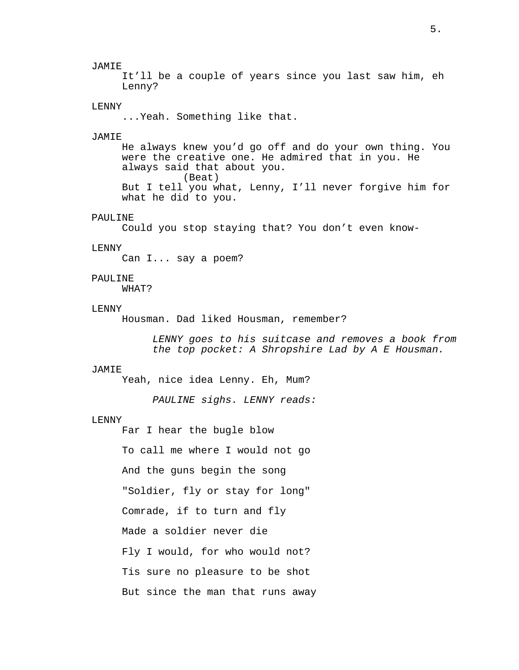### JAMIE

It'll be a couple of years since you last saw him, eh Lenny?

## LENNY

...Yeah. Something like that.

#### **JAMIE**

He always knew you'd go off and do your own thing. You were the creative one. He admired that in you. He always said that about you. (Beat) But I tell you what, Lenny, I'll never forgive him for what he did to you.

# PAULINE

Could you stop staying that? You don't even know-

#### LENNY

Can I... say a poem?

# PAULINE

WHAT?

### LENNY

Housman. Dad liked Housman, remember?

*LENNY goes to his suitcase and removes a book from the top pocket: A Shropshire Lad by A E Housman.*

# JAMIE

Yeah, nice idea Lenny. Eh, Mum?

*PAULINE sighs. LENNY reads:*

#### LENNY

Far I hear the bugle blow

To call me where I would not go

And the guns begin the song

"Soldier, fly or stay for long"

Comrade, if to turn and fly

Made a soldier never die

Fly I would, for who would not?

Tis sure no pleasure to be shot

But since the man that runs away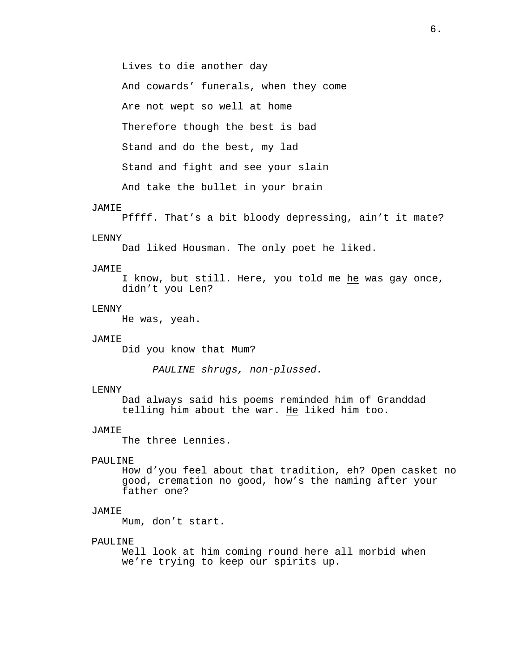Lives to die another day

And cowards' funerals, when they come

Are not wept so well at home

Therefore though the best is bad

Stand and do the best, my lad

Stand and fight and see your slain

And take the bullet in your brain

## JAMIE

Pffff. That's a bit bloody depressing, ain't it mate?

#### LENNY

Dad liked Housman. The only poet he liked.

### **JAMIE**

I know, but still. Here, you told me he was gay once, didn't you Len?

# LENNY

He was, yeah.

# JAMIE

Did you know that Mum?

*PAULINE shrugs, non-plussed.*

#### LENNY

Dad always said his poems reminded him of Granddad telling him about the war. He liked him too.

#### JAMIE

The three Lennies.

# PAULINE

How d'you feel about that tradition, eh? Open casket no good, cremation no good, how's the naming after your father one?

# JAMIE

Mum, don't start.

## PAULINE

Well look at him coming round here all morbid when we're trying to keep our spirits up.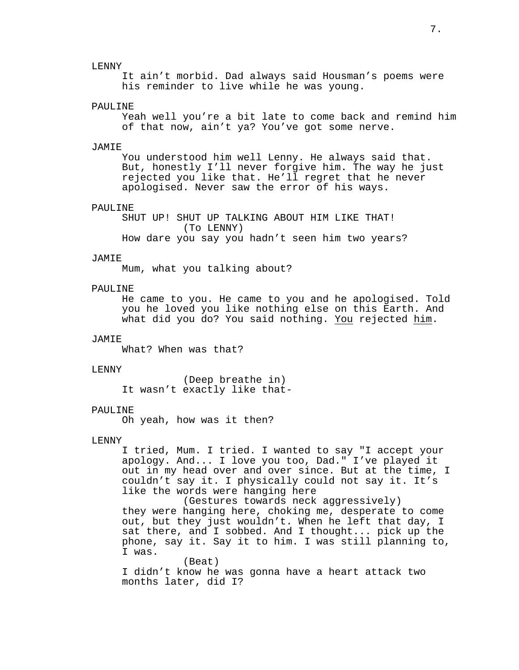LENNY

It ain't morbid. Dad always said Housman's poems were his reminder to live while he was young.

#### PAULINE

Yeah well you're a bit late to come back and remind him of that now, ain't ya? You've got some nerve.

#### JAMIE

You understood him well Lenny. He always said that. But, honestly I'll never forgive him. The way he just rejected you like that. He'll regret that he never apologised. Never saw the error of his ways.

#### PAULINE

SHUT UP! SHUT UP TALKING ABOUT HIM LIKE THAT! (To LENNY) How dare you say you hadn't seen him two years?

#### JAMIE

Mum, what you talking about?

# PAULINE

He came to you. He came to you and he apologised. Told you he loved you like nothing else on this Earth. And what did you do? You said nothing. You rejected him.

# JAMIE

What? When was that?

#### LENNY

(Deep breathe in) It wasn't exactly like that-

#### PAULINE

Oh yeah, how was it then?

#### LENNY

I tried, Mum. I tried. I wanted to say "I accept your apology. And... I love you too, Dad." I've played it out in my head over and over since. But at the time, I couldn't say it. I physically could not say it. It's like the words were hanging here

(Gestures towards neck aggressively) they were hanging here, choking me, desperate to come out, but they just wouldn't. When he left that day, I sat there, and I sobbed. And I thought... pick up the phone, say it. Say it to him. I was still planning to, I was.

(Beat) I didn't know he was gonna have a heart attack two months later, did I?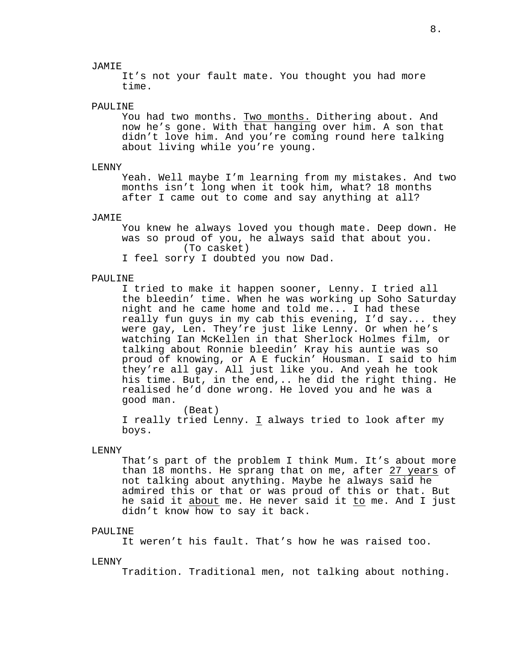### JAMIE

It's not your fault mate. You thought you had more time.

## PAULINE

You had two months. Two months. Dithering about. And now he's gone. With that hanging over him. A son that didn't love him. And you're coming round here talking about living while you're young.

### LENNY

Yeah. Well maybe I'm learning from my mistakes. And two months isn't long when it took him, what? 18 months after I came out to come and say anything at all?

## JAMIE

You knew he always loved you though mate. Deep down. He was so proud of you, he always said that about you. (To casket)

I feel sorry I doubted you now Dad.

#### PAULINE

I tried to make it happen sooner, Lenny. I tried all the bleedin' time. When he was working up Soho Saturday night and he came home and told me... I had these really fun guys in my cab this evening, I'd say... they were gay, Len. They're just like Lenny. Or when he's watching Ian McKellen in that Sherlock Holmes film, or talking about Ronnie bleedin' Kray his auntie was so proud of knowing, or A E fuckin' Housman. I said to him they're all gay. All just like you. And yeah he took his time. But, in the end,.. he did the right thing. He realised he'd done wrong. He loved you and he was a good man.

(Beat) I really tried Lenny. I always tried to look after my boys.

## LENNY

That's part of the problem I think Mum. It's about more than 18 months. He sprang that on me, after 27 years of not talking about anything. Maybe he always said he admired this or that or was proud of this or that. But he said it about me. He never said it to me. And I just didn't know how to say it back.

#### PAULINE

It weren't his fault. That's how he was raised too.

#### LENNY

Tradition. Traditional men, not talking about nothing.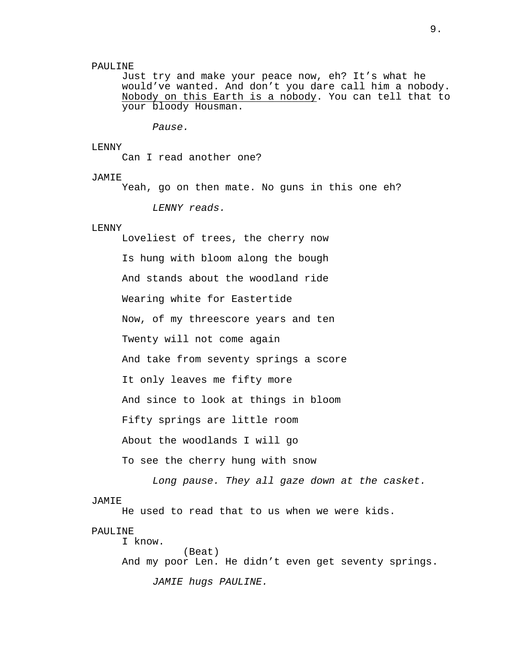## PAULINE

Just try and make your peace now, eh? It's what he would've wanted. And don't you dare call him a nobody. Nobody on this Earth is a nobody. You can tell that to your bloody Housman.

*Pause.*

#### LENNY

Can I read another one?

### JAMIE

Yeah, go on then mate. No guns in this one eh?

*LENNY reads.*

# LENNY

Loveliest of trees, the cherry now Is hung with bloom along the bough And stands about the woodland ride Wearing white for Eastertide Now, of my threescore years and ten Twenty will not come again And take from seventy springs a score It only leaves me fifty more And since to look at things in bloom Fifty springs are little room About the woodlands I will go To see the cherry hung with snow

*Long pause. They all gaze down at the casket.*

### JAMIE

He used to read that to us when we were kids.

## PAULINE

I know. (Beat) And my poor Len. He didn't even get seventy springs.

*JAMIE hugs PAULINE.*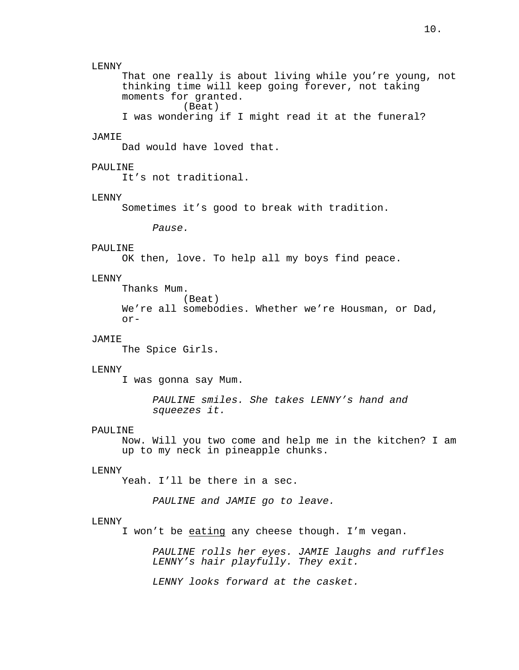## LENNY

That one really is about living while you're young, not thinking time will keep going forever, not taking moments for granted. (Beat)

```
I was wondering if I might read it at the funeral?
```
# **JAMIE**

Dad would have loved that.

## PAULINE

It's not traditional.

#### LENNY

Sometimes it's good to break with tradition.

*Pause.*

# PAULINE

OK then, love. To help all my boys find peace.

# LENNY

Thanks Mum.

(Beat) We're all somebodies. Whether we're Housman, or Dad, or-

# JAMIE

The Spice Girls.

# **LENNY**

I was gonna say Mum.

*PAULINE smiles. She takes LENNY's hand and squeezes it.*

#### PAULINE

Now. Will you two come and help me in the kitchen? I am up to my neck in pineapple chunks.

# LENNY

Yeah. I'll be there in a sec.

*PAULINE and JAMIE go to leave.*

# LENNY

I won't be eating any cheese though. I'm vegan.

*PAULINE rolls her eyes. JAMIE laughs and ruffles LENNY's hair playfully. They exit.*

*LENNY looks forward at the casket.*